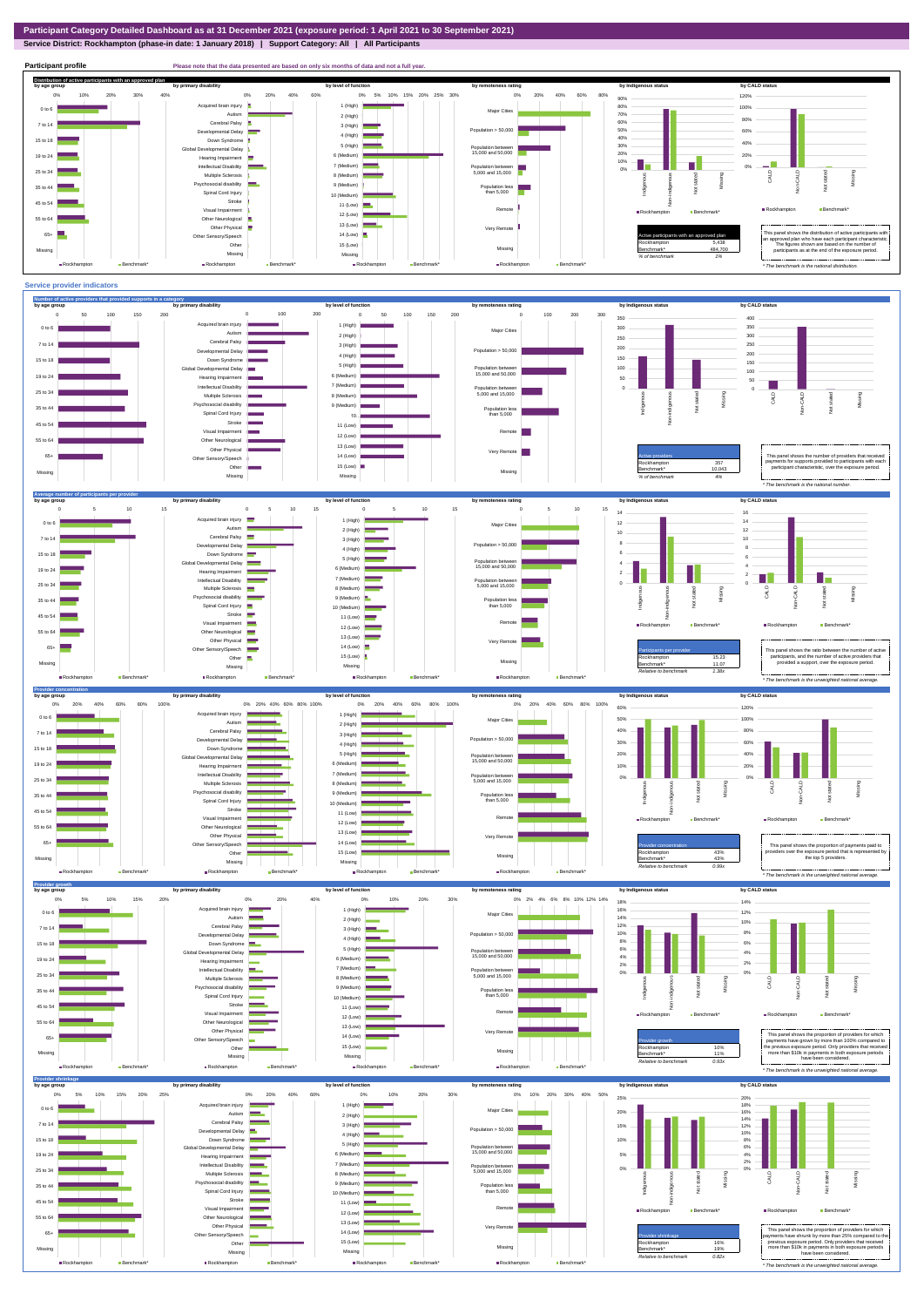**Service District: Rockhampton (phase-in date: 1 January 2018) | Support Category: All | All Participants**



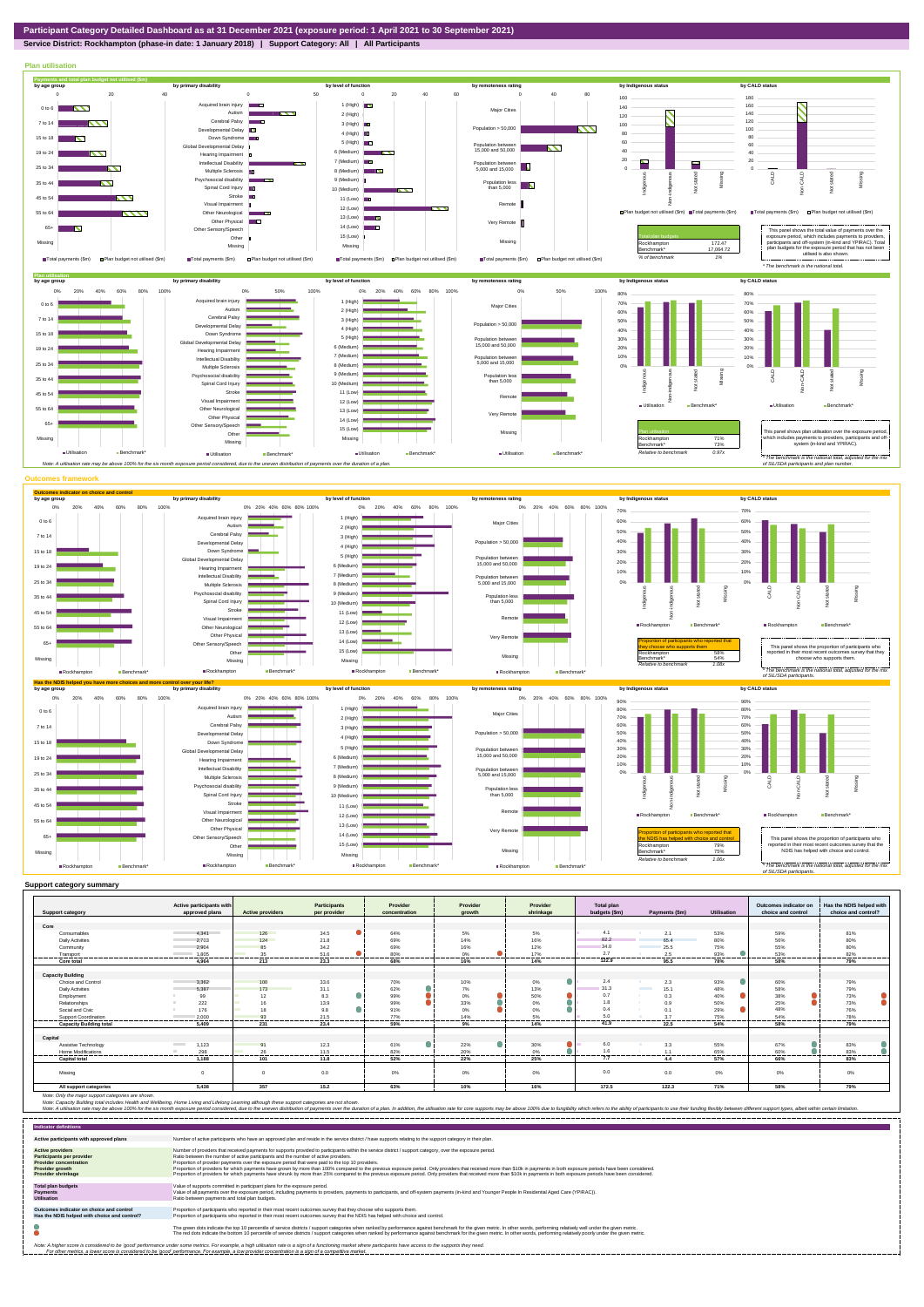## **Service District: Rockhampton (phase-in date: 1 January 2018) | Support Category: All | All Participants**



|                                | Active participants with          |                         | <b>Participants</b>      | Provider        | Provider            | Provider  | <b>Total plan</b> |                                  |                    | Outcomes indicator on | Has the NDIS helped with |
|--------------------------------|-----------------------------------|-------------------------|--------------------------|-----------------|---------------------|-----------|-------------------|----------------------------------|--------------------|-----------------------|--------------------------|
| <b>Support category</b>        | approved plans                    | <b>Active providers</b> | per provider             | concentration   | growth              | shrinkage | budgets (\$m)     | Payments (\$m)                   | <b>Utilisation</b> | choice and control    | choice and control?      |
| Core                           |                                   |                         |                          |                 |                     |           |                   |                                  |                    |                       |                          |
| Consumables                    | 4.341                             | 126                     | 34.5                     | 64%             | 5%                  | 5%        | 4.1               | 2.1                              | 53%                | 59%                   | 81%                      |
| <b>Daily Activities</b>        |                                   | 124                     | 21.8                     | 69%             | 14%                 | 16%       | 82.2              |                                  |                    | 56%                   | 80%                      |
|                                | 2.703                             |                         |                          |                 |                     |           | 34.0              | 65.4                             | 80%                |                       |                          |
| Community                      | 2.904                             | 85                      | 34.2                     | 69%             | 16%                 | 12%       |                   | 25.5                             | 75%                | 55%                   | 80%                      |
| Transport<br>. <del>.</del>    | 1.805<br>.                        | 35<br>                  | 51.6<br>. <del>. .</del> | 80%<br>-------- | 0%<br>---------<br> | 17%<br>.  | 2.7<br>---------  | 2.5<br>-----------               | 93%<br>            | 53%<br>               | 82%<br>---------         |
| Core total                     | 4.964                             | 213                     | 23.3                     | 68%             | 16%                 | 14%       | 122.9             | 95.5                             | 78%                | 58%                   | 79%                      |
|                                |                                   |                         |                          |                 |                     |           |                   |                                  |                    |                       |                          |
| <b>Capacity Building</b>       |                                   |                         |                          |                 |                     |           |                   |                                  |                    |                       |                          |
| Choice and Control             | 3,362                             | 100                     | 33.6                     | 70%             | 10%                 | 0%        | 2.4               | 2.3                              | 93%                | 60%                   | 79%                      |
| <b>Daily Activities</b>        | 5.387                             | 173                     | 31.1                     | 62%             | 7%                  | 13%       | 31.3              | <b>Contract Contract</b><br>15.1 | 48%                | 58%                   | 79%                      |
| Employment                     | 99                                | 12                      | 8.3                      | 99%             | $0\%$               | 50%       | 0.7               | 0.3<br>- 40                      | 40%                | 38%                   | 73%                      |
| Relationships                  | 222                               | 16                      | 13.9                     | 99%             | 33%                 | $0\%$     | 1.8               | 0.9                              | 50%                | 25%                   | 73%                      |
| Social and Civic               | 176                               | 18                      | 9.8                      | 91%             | 0%                  | 0%        | 0.4               | 0.1                              | 29%                | 48%                   | 76%                      |
| Support Coordination           | 2.000                             | 93                      | 21.5                     | 77%             | 14%                 | 5%        | 5.0               | 3.7                              | 75%                | 54%                   | 78%                      |
| <b>Capacity Building total</b> | 5.409                             | 231                     | 23.4                     | 59%             | 9%                  | 14%       | 41.9              | 22.5                             | 54%                | 58%                   | 79%                      |
|                                |                                   |                         |                          |                 |                     |           |                   |                                  |                    |                       |                          |
| Capital                        |                                   |                         |                          |                 |                     |           |                   |                                  |                    |                       |                          |
| Assistive Technology           | 1,123<br><b>Contract Contract</b> | Q <sub>1</sub>          | 12.3                     | 61%             | 22%                 | 30%       | 6.0               | 3.3                              | 55%                | 67%                   | 83%                      |
| <b>Home Modifications</b>      | 298                               | 26                      | 11.5                     | 82%             | 20%                 | 0%        | 1.6               | 1.1                              | 65%                | 60%                   | 83%                      |
| <b>Capital total</b>           | 1.188                             | 101                     | 11.8                     | 52%             | 22%                 | 25%       | 7.7               | 4.4                              | 57%                | 66%                   | 83%                      |
|                                |                                   |                         |                          |                 |                     |           |                   |                                  |                    |                       |                          |
| Missina                        | $\Omega$                          | $\Omega$                | 0.0                      | 0%              | 0%                  | 0%        | 0.0               | 0.0                              | $0\%$              | 0%                    | 0%                       |
| All support categories         | 5,438                             | 357                     | 15.2                     | 63%             | 10%                 | 16%       | 172.5             | 122.3                            | 71%                | 58%                   | 79%                      |

Note: Only the major support categories are shown.<br>Note: Capacity Building total individual Wellbeing, Home Living and Lifelong Learning although these support categories are not shown.<br>Note: A utilisation rate may be abov

| <b>Indicator definitions</b>                                                                                                                        |                                                                                                                                                                                                                                                                                                                                                                                                                                                                                                                                                                                                                                                                                                                                                                                                                 |
|-----------------------------------------------------------------------------------------------------------------------------------------------------|-----------------------------------------------------------------------------------------------------------------------------------------------------------------------------------------------------------------------------------------------------------------------------------------------------------------------------------------------------------------------------------------------------------------------------------------------------------------------------------------------------------------------------------------------------------------------------------------------------------------------------------------------------------------------------------------------------------------------------------------------------------------------------------------------------------------|
| Active participants with approved plans                                                                                                             | Number of active participants who have an approved plan and reside in the service district / have supports relating to the support category in their plan.                                                                                                                                                                                                                                                                                                                                                                                                                                                                                                                                                                                                                                                      |
| <b>Active providers</b><br><b>Participants per provider</b><br><b>Provider concentration</b><br><b>Provider growth</b><br><b>Provider shrinkage</b> | Number of providers that received payments for supports provided to participants within the service district / support category, over the exposure period.<br>Ratio between the number of active participants and the number of active providers.<br>Proportion of provider payments over the exposure period that were paid to the top 10 providers.<br>Proportion of providers for which payments have grown by more than 100% compared to the previous exposure period. Only providers that received more than \$10k in payments in both exposure periods have been considered.<br>Proportion of providers for which payments have shrunk by more than 25% compared to the previous exposure period. Only providers that received more than \$10k in payments in both exposure periods have been considered. |
| <b>Total plan budgets</b><br><b>Payments</b><br><b>Utilisation</b>                                                                                  | Value of supports committed in participant plans for the exposure period.<br>Value of all payments over the exposure period, including payments to providers, payments to participants, and off-system payments (in-kind and Younger People In Residential Aged Care (YPIRAC)).<br>Ratio between payments and total plan budgets.                                                                                                                                                                                                                                                                                                                                                                                                                                                                               |
| Outcomes indicator on choice and control<br>Has the NDIS helped with choice and control?                                                            | Proportion of participants who reported in their most recent outcomes survey that they choose who supports them.<br>Proportion of participants who reported in their most recent outcomes survey that the NDIS has helped with choice and control.                                                                                                                                                                                                                                                                                                                                                                                                                                                                                                                                                              |
|                                                                                                                                                     | The green dots indicate the top 10 percentile of service districts / support categories when ranked by performance against benchmark for the given metric. In other words, performing relatively well under the given metric.<br>The red dots indicate the bottom 10 percentile of service districts / support categories when ranked by performance against benchmark for the given metric. In other words, performing relatively poorly under the given metri                                                                                                                                                                                                                                                                                                                                                 |
|                                                                                                                                                     | Note: A higher score is considered to be 'good' performance under some metrics. For example, a high utilisation rate is a sign of a functioning market where participants have access to the supports they need.<br>For other metrics, a lower score is considered to be 'good' performance. For example, a low provider concentration is a sign of a competitive market.                                                                                                                                                                                                                                                                                                                                                                                                                                       |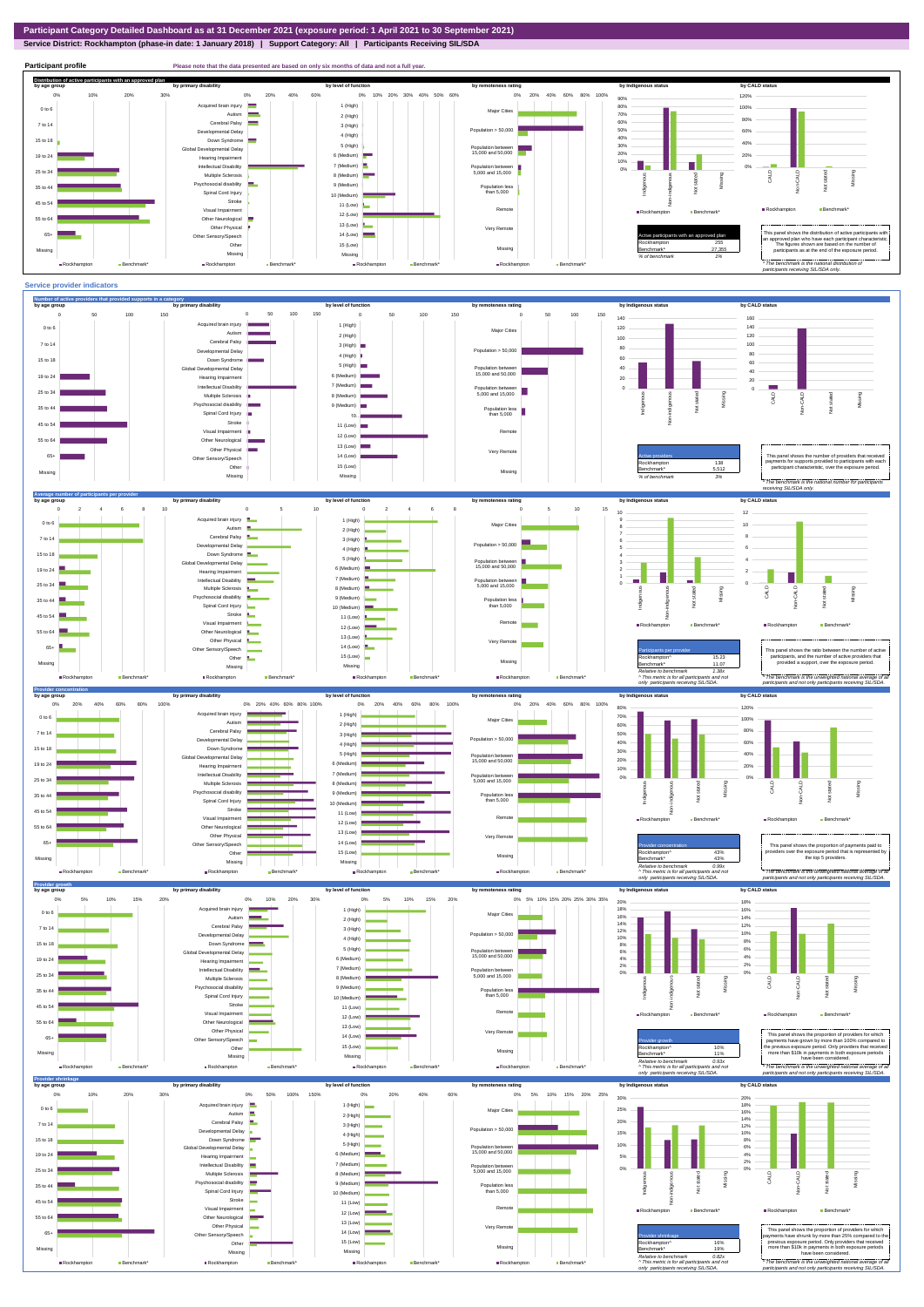## **Service District: Rockhampton (phase-in date: 1 January 2018) | Support Category: All | Participants Receiving SIL/SDA**

**Participant profile Please note that the data presented are based on only six months of data and not a full yer.** 



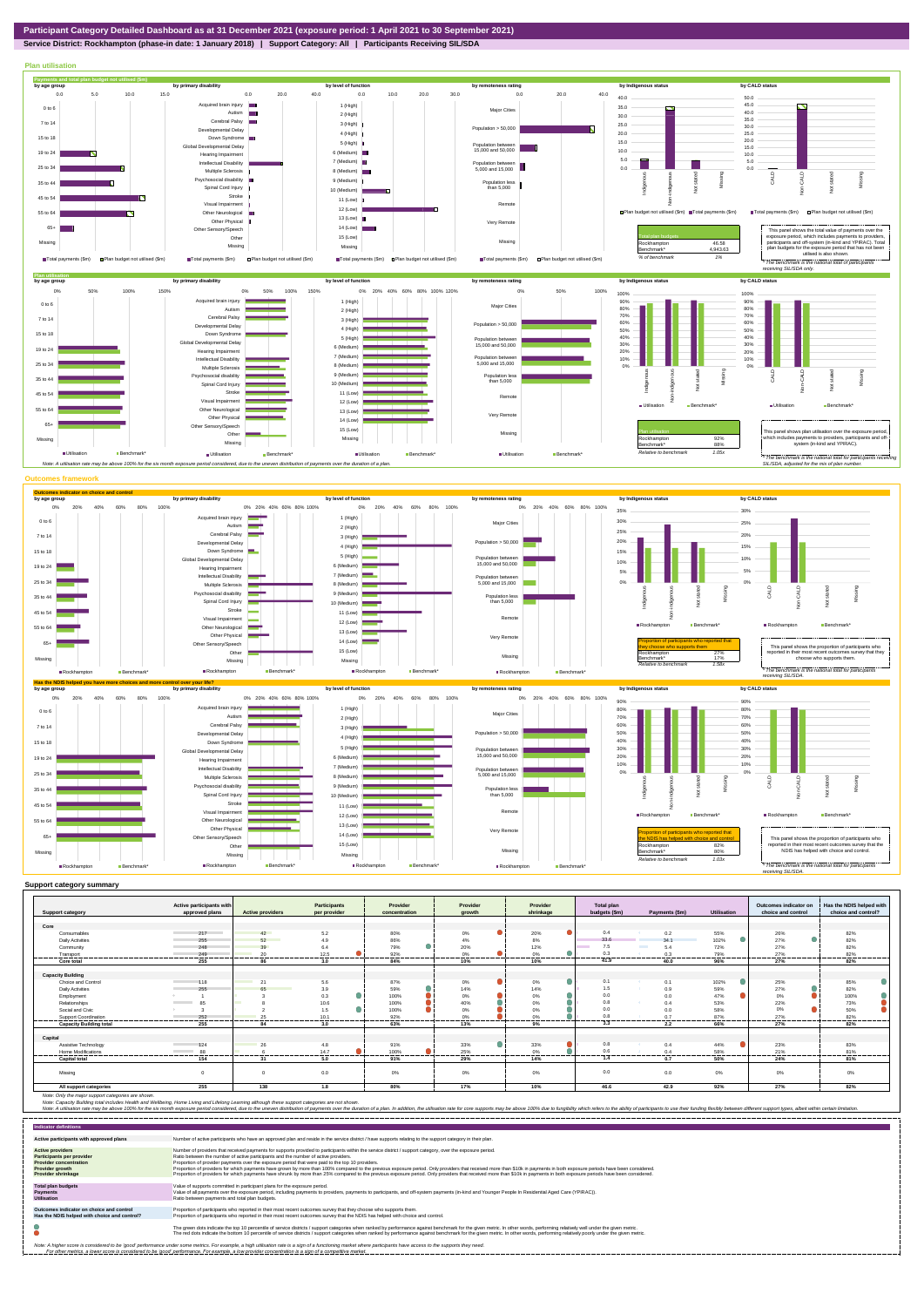



|                                | Active participants with            |                         | <b>Participants</b> | Provider         | Provider       | Provider  | <b>Total plan</b> | Payments (\$m)            |                    | Outcomes indicator on<br>choice and control | Has the NDIS helped with |
|--------------------------------|-------------------------------------|-------------------------|---------------------|------------------|----------------|-----------|-------------------|---------------------------|--------------------|---------------------------------------------|--------------------------|
| <b>Support category</b>        | approved plans                      | <b>Active providers</b> | per provider        | concentration    | growth         | shrinkage | budgets (\$m)     |                           | <b>Utilisation</b> |                                             | choice and control?      |
| Core                           |                                     |                         |                     |                  |                |           |                   |                           |                    |                                             |                          |
| Consumables                    | 217                                 | 42                      | 5.2                 | 80%              | 0%             | 20%       | 0.4               | 0.2                       | 55%                | 26%                                         | 82%                      |
| Daily Activities               | 255                                 | 52                      | 4.9                 | 86%              | 4%             | 8%        | 33.6              | 34.1                      | 102%               | œ<br>27%                                    | 82%                      |
| Community                      | 248                                 | 39                      | 6.4                 | $\bullet$<br>79% | 20%            | 12%       | 7.5               | <b>The College</b><br>5.4 | 72%                | 27%                                         | 82%                      |
| Transport                      | 249<br>.                            | 20<br>------            | 12.5                | 92%<br>-------   | 0%<br>-------  | 0%        | 0.3               | 0.3                       | 79%<br>-------     | 27%<br>-------                              | 82%                      |
| Core total                     | 255                                 | 86                      | 3.0                 | 84%              | 10%            | 10%       | 41.9              | 40.0                      | 96%                | 27%                                         | 82%                      |
|                                |                                     |                         |                     |                  |                |           |                   |                           |                    |                                             |                          |
| <b>Capacity Building</b>       |                                     |                         |                     |                  |                |           |                   |                           |                    |                                             |                          |
| Choice and Control             | 118                                 | 21                      | 5.6                 | 87%              | $0\%$          | 0%        | 0.1               | 0.1                       | 102%               | 25%                                         | 85%                      |
| <b>Daily Activities</b>        | 255                                 | 65                      | 3.9                 | $\bullet$<br>59% | 14%            | 14%       | 1.5               | 0.9                       | 59%                | 27%                                         | 82%                      |
| Employment                     |                                     |                         | 0.3                 | 100%             | $0\%$          | 0%        | 0.0               | 0.0                       | 47%                | 0%                                          | 100%                     |
| Relationships                  | 85<br><b>Service Control</b>        |                         | 10.6                | 100%             | 40%            | 0%        | 0.8               | 0.4                       | 53%                | 22%                                         | 73%                      |
| Social and Civic               |                                     |                         | 1.5                 | 100%             | 0%             | 0%        | 0.0               |                           | 58%                | 0%                                          | 50%                      |
| <b>Support Coordination</b>    | 252                                 | 25<br>------            | 10.1<br>-------     | 92%<br>-------   | 0%<br>-------- | 0%<br>    | 0.8               | 0.7<br>-------            | 87%<br>-------     | 27%<br>-------                              | 82%<br>---------         |
| <b>Capacity Building total</b> | .<br>255                            | 84                      | 3.0                 | 63%              | 13%            | 9%        | 3.3               | 2.2                       | 66%                | 27%                                         | 82%                      |
|                                |                                     |                         |                     |                  |                |           |                   |                           |                    |                                             |                          |
| Capital                        |                                     |                         |                     |                  |                |           |                   |                           |                    |                                             |                          |
| Assistive Technology           | 124                                 | 26                      | 4.8                 | 91%              | 33%            | 33%       | 0.8               | 0.4                       | 44%                | 23%                                         | 83%                      |
| Home Modifications             | 88<br><b>Contract Contract</b><br>. |                         | 14.7<br>.           | 100%             | 25%<br>------  | 0%        | 0.6               | 0.4<br>                   | 58%<br>------      | 21%                                         | 81%                      |
| <b>Capital total</b>           | 154                                 | 31                      | 5.0                 | 91%              | 29%            | 14%       | 1.4               | 0.7                       | 50%                | 24%                                         | 81%                      |
| Missina                        | $\circ$                             | $\overline{0}$          | 0.0                 | 0%               | 0%             | 0%        | 0.0               | 0.0                       | $0\%$              | 0%                                          | 0%                       |
| All support categories         | 255                                 | 138                     | 1.8                 | 80%              | 17%            | 10%       | 46.6              | 42.9                      | 92%                | 27%                                         | 82%                      |

Note: Only the major support categories are shown.<br>Note: Capacity Building total individual Wellbeing, Home Living and Lifelong Learning although these support categories are not shown.<br>Note: A utilisation rate may be abov

| <b>Indicator definitions</b>                                                                                                                 |                                                                                                                                                                                                                                                                                                                                                                                                                                                                                                                                                                                                                                                                                                                                                                                                                 |
|----------------------------------------------------------------------------------------------------------------------------------------------|-----------------------------------------------------------------------------------------------------------------------------------------------------------------------------------------------------------------------------------------------------------------------------------------------------------------------------------------------------------------------------------------------------------------------------------------------------------------------------------------------------------------------------------------------------------------------------------------------------------------------------------------------------------------------------------------------------------------------------------------------------------------------------------------------------------------|
| Active participants with approved plans                                                                                                      | Number of active participants who have an approved plan and reside in the service district / have supports relating to the support category in their plan.                                                                                                                                                                                                                                                                                                                                                                                                                                                                                                                                                                                                                                                      |
| <b>Active providers</b><br><b>Participants per provider</b><br><b>Provider concentration</b><br>Provider growth<br><b>Provider shrinkage</b> | Number of providers that received payments for supports provided to participants within the service district / support category, over the exposure period.<br>Ratio between the number of active participants and the number of active providers.<br>Proportion of provider payments over the exposure period that were paid to the top 10 providers.<br>Proportion of providers for which payments have grown by more than 100% compared to the previous exposure period. Only providers that received more than \$10k in payments in both exposure periods have been considered.<br>Proportion of providers for which payments have shrunk by more than 25% compared to the previous exposure period. Only providers that received more than \$10k in payments in both exposure periods have been considered. |
| <b>Total plan budgets</b><br>Payments<br><b>Utilisation</b>                                                                                  | Value of supports committed in participant plans for the exposure period.<br>Value of all payments over the exposure period, including payments to providers, payments to participants, and off-system payments (in-kind and Younger People In Residential Aged Care (YPIRAC)).<br>Ratio between payments and total plan budgets.                                                                                                                                                                                                                                                                                                                                                                                                                                                                               |
| Outcomes indicator on choice and control<br>Has the NDIS helped with choice and control?                                                     | Proportion of participants who reported in their most recent outcomes survey that they choose who supports them.<br>Proportion of participants who reported in their most recent outcomes survey that the NDIS has helped with choice and control.                                                                                                                                                                                                                                                                                                                                                                                                                                                                                                                                                              |
|                                                                                                                                              | The green dots indicate the top 10 percentile of service districts / support categories when ranked by performance against benchmark for the given metric. In other words, performing relatively well under the given metric.<br>The red dots indicate the bottom 10 percentile of service districts / support categories when ranked by performance against benchmark for the given metric. In other words, performing relatively poorly under the given metri                                                                                                                                                                                                                                                                                                                                                 |
|                                                                                                                                              | Note: A higher score is considered to be 'good' performance under some metrics. For example, a high utilisation rate is a sign of a functioning market where participants have access to the supports they need.<br>For other metrics, a lower score is considered to be 'good' performance. For example, a low provider concentration is a sign of a competitive market.                                                                                                                                                                                                                                                                                                                                                                                                                                       |





45.0 50.0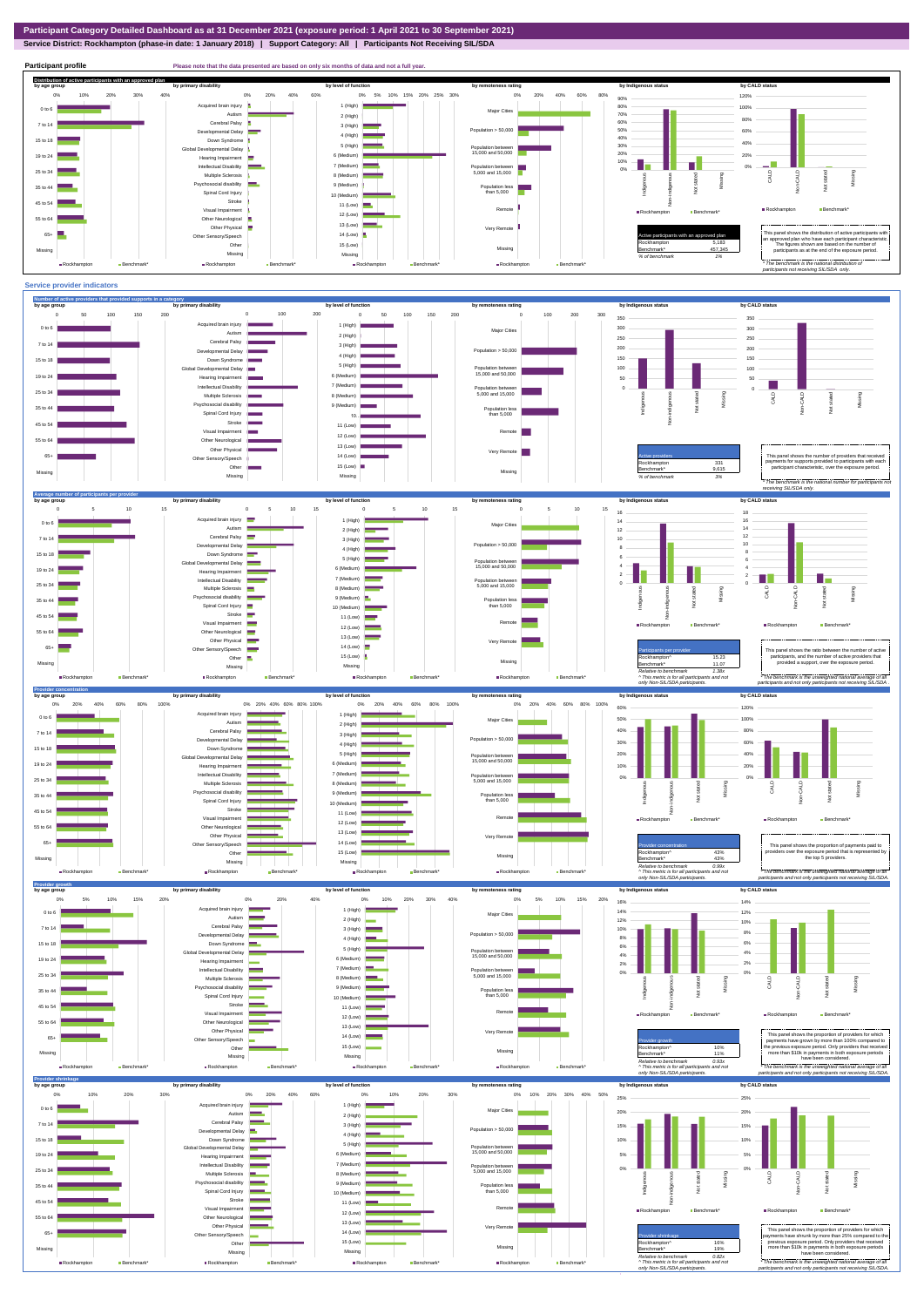**Service District: Rockhampton (phase-in date: 1 January 2018) | Support Category: All | Participants Not Receiving SIL/SDA**

This panel shows the ratio between the number of act participants, and the number of active providers that

Rockhampton **Benchmark\*** 

only Non-SIL/SDA particip *\* The benchmark is the unweighted national average of all participants and not only participants not receiving SIL/SDA .*



12 (Low) 13 (Low) 14 (Low) 15 (Low)  $\blacksquare$ Missing



Other Neurological Other Physical Other Sensory/Speech Other  $\blacksquare$ Missing  $\blacksquare$ Rockhampton  $\blacksquare$ Be

 $\sim$ 

 $55$  to  $6$ 65+ Missing

**Benchmark** 

Very Remote Missing

Rockhampton Benchmark\*

**Rockhampton** Bench

 $\frac{15.23}{11.07}$ Benchmark\* 11.07 *Relative to benchmark 1.38x ^ This metric is for all participants and not*  provided a support, over the expo

Rockhampton **Benchmark\***